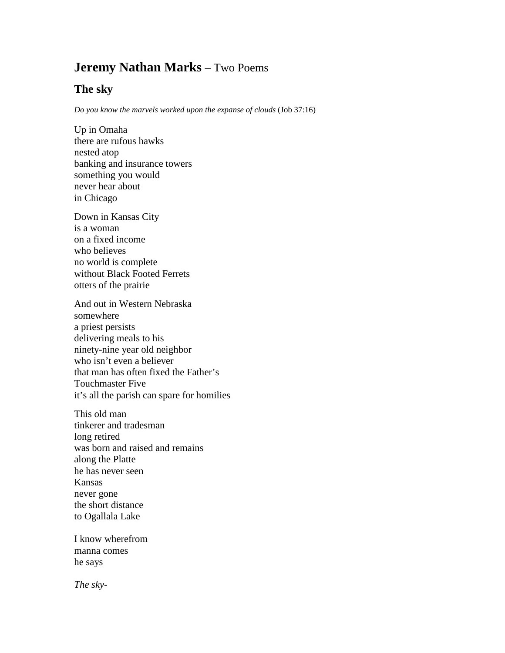## **Jeremy Nathan Marks** – Two Poems

## **The sky**

*Do you know the marvels worked upon the expanse of clouds* (Job 37:16)

Up in Omaha there are rufous hawks nested atop banking and insurance towers something you would never hear about in Chicago

Down in Kansas City is a woman on a fixed income who believes no world is complete without Black Footed Ferrets otters of the prairie

And out in Western Nebraska somewhere a priest persists delivering meals to his ninety-nine year old neighbor who isn't even a believer that man has often fixed the Father's Touchmaster Five it's all the parish can spare for homilies

This old man tinkerer and tradesman long retired was born and raised and remains along the Platte he has never seen Kansas never gone the short distance to Ogallala Lake

I know wherefrom manna comes he says

*The sky-*